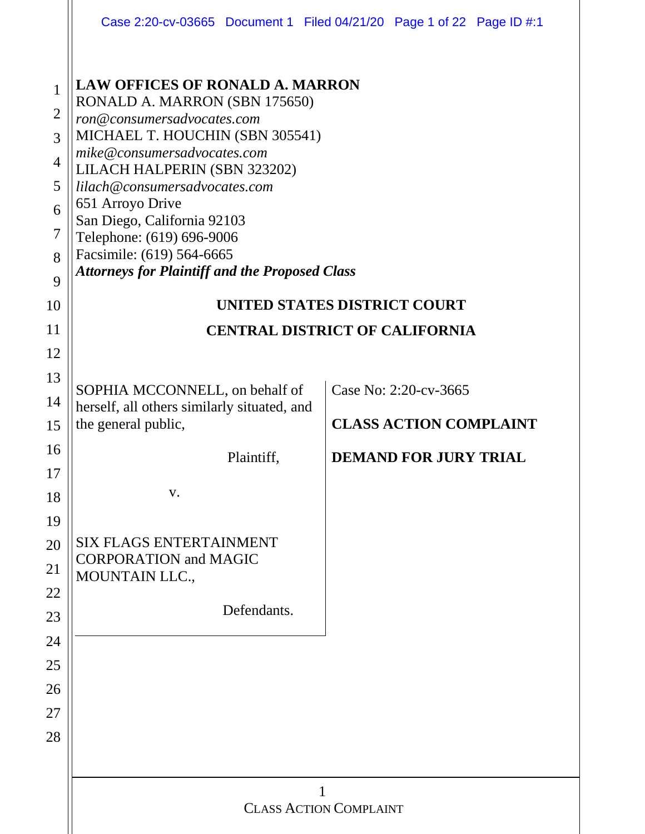|                                                                                             | Case 2:20-cv-03665 Document 1 Filed 04/21/20 Page 1 of 22 Page ID #:1                                                                                                                                                                                                                                                                                                                                          |                       |                               |  |  |  |  |  |
|---------------------------------------------------------------------------------------------|----------------------------------------------------------------------------------------------------------------------------------------------------------------------------------------------------------------------------------------------------------------------------------------------------------------------------------------------------------------------------------------------------------------|-----------------------|-------------------------------|--|--|--|--|--|
| $\mathbf{1}$<br>$\overline{2}$<br>3<br>$\overline{4}$<br>5<br>6<br>$\overline{7}$<br>8<br>9 | <b>LAW OFFICES OF RONALD A. MARRON</b><br>RONALD A. MARRON (SBN 175650)<br>ron@consumersadvocates.com<br>MICHAEL T. HOUCHIN (SBN 305541)<br>mike@consumersadvocates.com<br>LILACH HALPERIN (SBN 323202)<br>lilach@consumersadvocates.com<br>651 Arroyo Drive<br>San Diego, California 92103<br>Telephone: (619) 696-9006<br>Facsimile: (619) 564-6665<br><b>Attorneys for Plaintiff and the Proposed Class</b> |                       |                               |  |  |  |  |  |
| 10                                                                                          | <b>UNITED STATES DISTRICT COURT</b>                                                                                                                                                                                                                                                                                                                                                                            |                       |                               |  |  |  |  |  |
| 11                                                                                          | <b>CENTRAL DISTRICT OF CALIFORNIA</b>                                                                                                                                                                                                                                                                                                                                                                          |                       |                               |  |  |  |  |  |
| 12                                                                                          |                                                                                                                                                                                                                                                                                                                                                                                                                |                       |                               |  |  |  |  |  |
| 13                                                                                          | SOPHIA MCCONNELL, on behalf of                                                                                                                                                                                                                                                                                                                                                                                 | Case No: 2:20-cv-3665 |                               |  |  |  |  |  |
| 14<br>15                                                                                    | herself, all others similarly situated, and<br>the general public,                                                                                                                                                                                                                                                                                                                                             |                       | <b>CLASS ACTION COMPLAINT</b> |  |  |  |  |  |
| 16                                                                                          |                                                                                                                                                                                                                                                                                                                                                                                                                |                       |                               |  |  |  |  |  |
| 17                                                                                          | Plaintiff,                                                                                                                                                                                                                                                                                                                                                                                                     |                       | <b>DEMAND FOR JURY TRIAL</b>  |  |  |  |  |  |
| 18                                                                                          | V.                                                                                                                                                                                                                                                                                                                                                                                                             |                       |                               |  |  |  |  |  |
| 19                                                                                          |                                                                                                                                                                                                                                                                                                                                                                                                                |                       |                               |  |  |  |  |  |
| 20                                                                                          | <b>SIX FLAGS ENTERTAINMENT</b>                                                                                                                                                                                                                                                                                                                                                                                 |                       |                               |  |  |  |  |  |
| 21                                                                                          | <b>CORPORATION and MAGIC</b><br><b>MOUNTAIN LLC.,</b>                                                                                                                                                                                                                                                                                                                                                          |                       |                               |  |  |  |  |  |
| 22                                                                                          |                                                                                                                                                                                                                                                                                                                                                                                                                |                       |                               |  |  |  |  |  |
| 23                                                                                          | Defendants.                                                                                                                                                                                                                                                                                                                                                                                                    |                       |                               |  |  |  |  |  |
| 24                                                                                          |                                                                                                                                                                                                                                                                                                                                                                                                                |                       |                               |  |  |  |  |  |
| 25                                                                                          |                                                                                                                                                                                                                                                                                                                                                                                                                |                       |                               |  |  |  |  |  |
| 26                                                                                          |                                                                                                                                                                                                                                                                                                                                                                                                                |                       |                               |  |  |  |  |  |
| 27<br>28                                                                                    |                                                                                                                                                                                                                                                                                                                                                                                                                |                       |                               |  |  |  |  |  |
|                                                                                             |                                                                                                                                                                                                                                                                                                                                                                                                                |                       |                               |  |  |  |  |  |
|                                                                                             |                                                                                                                                                                                                                                                                                                                                                                                                                |                       |                               |  |  |  |  |  |
|                                                                                             | 1<br><b>CLASS ACTION COMPLAINT</b>                                                                                                                                                                                                                                                                                                                                                                             |                       |                               |  |  |  |  |  |
|                                                                                             |                                                                                                                                                                                                                                                                                                                                                                                                                |                       |                               |  |  |  |  |  |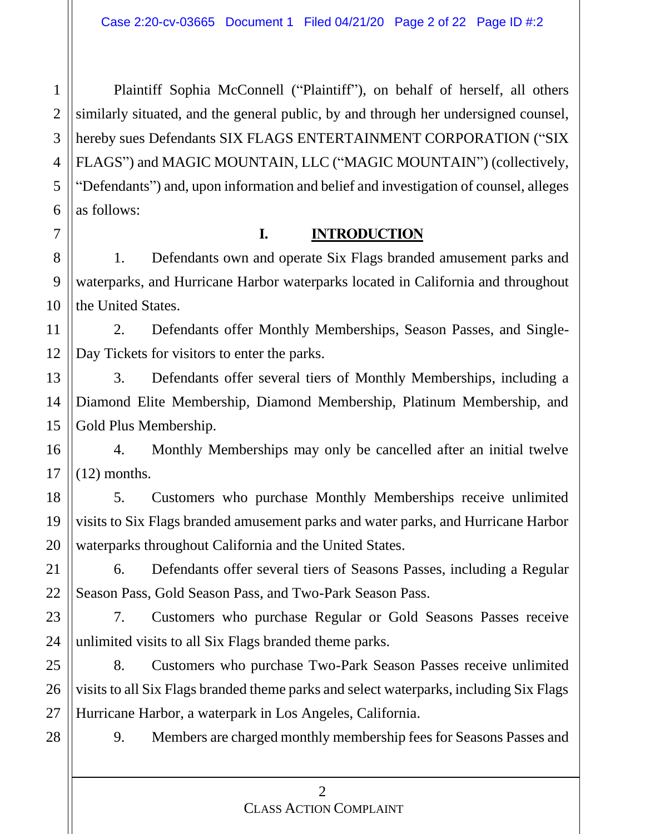Plaintiff Sophia McConnell ("Plaintiff"), on behalf of herself, all others similarly situated, and the general public, by and through her undersigned counsel, hereby sues Defendants SIX FLAGS ENTERTAINMENT CORPORATION ("SIX FLAGS") and MAGIC MOUNTAIN, LLC ("MAGIC MOUNTAIN") (collectively, "Defendants") and, upon information and belief and investigation of counsel, alleges as follows:

### **I. INTRODUCTION**

1. Defendants own and operate Six Flags branded amusement parks and waterparks, and Hurricane Harbor waterparks located in California and throughout the United States.

2. Defendants offer Monthly Memberships, Season Passes, and Single-Day Tickets for visitors to enter the parks.

3. Defendants offer several tiers of Monthly Memberships, including a Diamond Elite Membership, Diamond Membership, Platinum Membership, and Gold Plus Membership.

4. Monthly Memberships may only be cancelled after an initial twelve (12) months.

5. Customers who purchase Monthly Memberships receive unlimited visits to Six Flags branded amusement parks and water parks, and Hurricane Harbor waterparks throughout California and the United States.

6. Defendants offer several tiers of Seasons Passes, including a Regular Season Pass, Gold Season Pass, and Two-Park Season Pass.

7. Customers who purchase Regular or Gold Seasons Passes receive unlimited visits to all Six Flags branded theme parks.

8. Customers who purchase Two-Park Season Passes receive unlimited visits to all Six Flags branded theme parks and select waterparks, including Six Flags Hurricane Harbor, a waterpark in Los Angeles, California.

9. Members are charged monthly membership fees for Seasons Passes and

1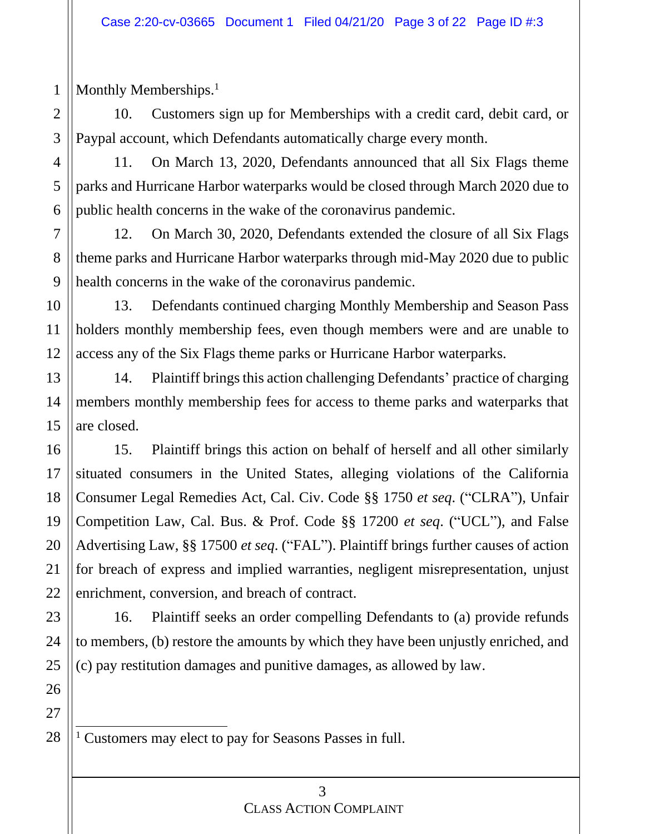Monthly Memberships.<sup>1</sup>

10. Customers sign up for Memberships with a credit card, debit card, or Paypal account, which Defendants automatically charge every month.

11. On March 13, 2020, Defendants announced that all Six Flags theme parks and Hurricane Harbor waterparks would be closed through March 2020 due to public health concerns in the wake of the coronavirus pandemic.

12. On March 30, 2020, Defendants extended the closure of all Six Flags theme parks and Hurricane Harbor waterparks through mid-May 2020 due to public health concerns in the wake of the coronavirus pandemic.

13. Defendants continued charging Monthly Membership and Season Pass holders monthly membership fees, even though members were and are unable to access any of the Six Flags theme parks or Hurricane Harbor waterparks.

14. Plaintiff brings this action challenging Defendants' practice of charging members monthly membership fees for access to theme parks and waterparks that are closed.

15. Plaintiff brings this action on behalf of herself and all other similarly situated consumers in the United States, alleging violations of the California Consumer Legal Remedies Act, Cal. Civ. Code §§ 1750 *et seq*. ("CLRA"), Unfair Competition Law, Cal. Bus. & Prof. Code §§ 17200 *et seq*. ("UCL"), and False Advertising Law, §§ 17500 *et seq*. ("FAL"). Plaintiff brings further causes of action for breach of express and implied warranties, negligent misrepresentation, unjust enrichment, conversion, and breach of contract.

16. Plaintiff seeks an order compelling Defendants to (a) provide refunds to members, (b) restore the amounts by which they have been unjustly enriched, and (c) pay restitution damages and punitive damages, as allowed by law.

28

<sup>1</sup> Customers may elect to pay for Seasons Passes in full.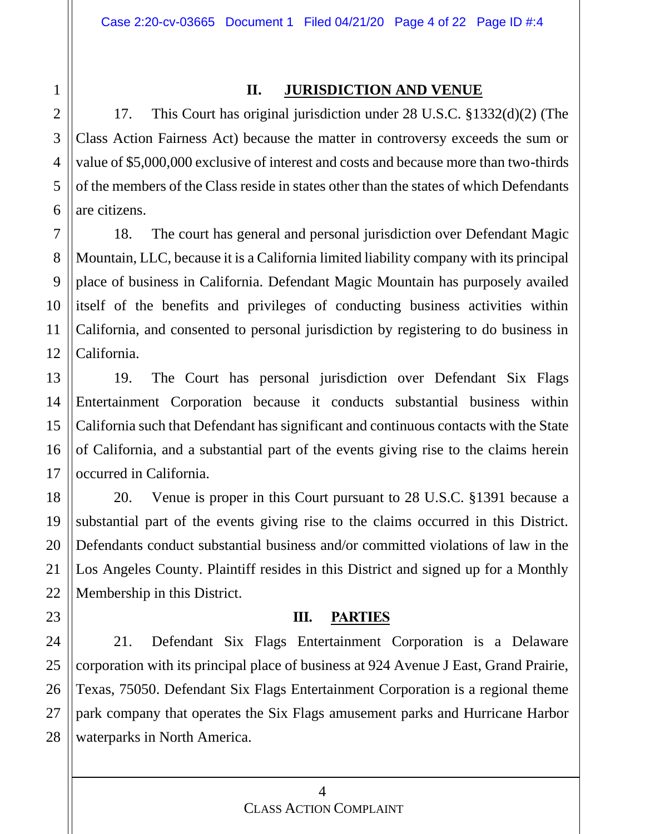# 1 2 3 4 5 6 7 8 9 10 11 12 13 14 15 16 17 18 19 20 21 22 23 24 25 26 27

28

#### **II. JURISDICTION AND VENUE**

17. This Court has original jurisdiction under 28 U.S.C. §1332(d)(2) (The Class Action Fairness Act) because the matter in controversy exceeds the sum or value of \$5,000,000 exclusive of interest and costs and because more than two-thirds of the members of the Class reside in states other than the states of which Defendants are citizens.

18. The court has general and personal jurisdiction over Defendant Magic Mountain, LLC, because it is a California limited liability company with its principal place of business in California. Defendant Magic Mountain has purposely availed itself of the benefits and privileges of conducting business activities within California, and consented to personal jurisdiction by registering to do business in California.

19. The Court has personal jurisdiction over Defendant Six Flags Entertainment Corporation because it conducts substantial business within California such that Defendant has significant and continuous contacts with the State of California, and a substantial part of the events giving rise to the claims herein occurred in California.

20. Venue is proper in this Court pursuant to 28 U.S.C. §1391 because a substantial part of the events giving rise to the claims occurred in this District. Defendants conduct substantial business and/or committed violations of law in the Los Angeles County. Plaintiff resides in this District and signed up for a Monthly Membership in this District.

#### **III. PARTIES**

21. Defendant Six Flags Entertainment Corporation is a Delaware corporation with its principal place of business at 924 Avenue J East, Grand Prairie, Texas, 75050. Defendant Six Flags Entertainment Corporation is a regional theme park company that operates the Six Flags amusement parks and Hurricane Harbor waterparks in North America.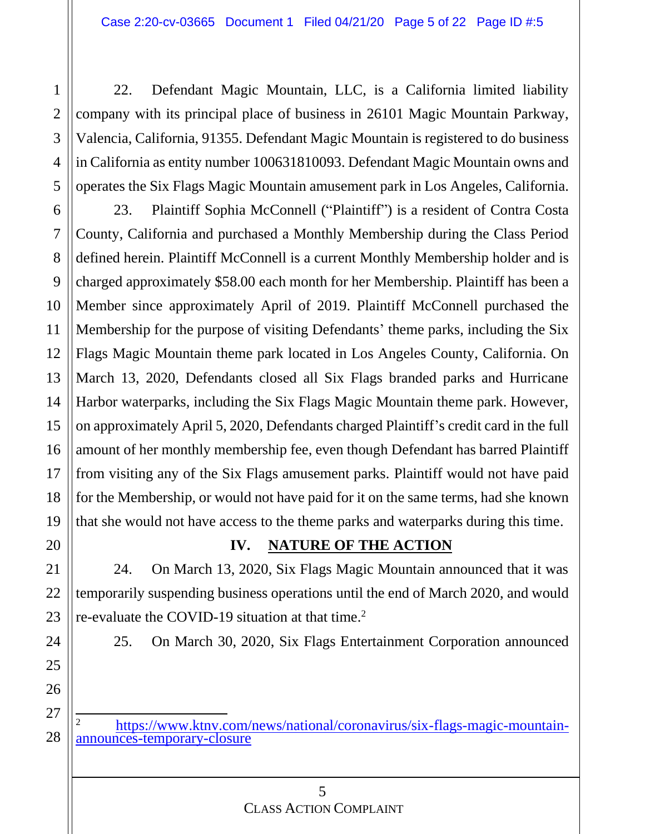22. Defendant Magic Mountain, LLC, is a California limited liability company with its principal place of business in 26101 Magic Mountain Parkway, Valencia, California, 91355. Defendant Magic Mountain is registered to do business in California as entity number 100631810093. Defendant Magic Mountain owns and operates the Six Flags Magic Mountain amusement park in Los Angeles, California.

23. Plaintiff Sophia McConnell ("Plaintiff") is a resident of Contra Costa County, California and purchased a Monthly Membership during the Class Period defined herein. Plaintiff McConnell is a current Monthly Membership holder and is charged approximately \$58.00 each month for her Membership. Plaintiff has been a Member since approximately April of 2019. Plaintiff McConnell purchased the Membership for the purpose of visiting Defendants' theme parks, including the Six Flags Magic Mountain theme park located in Los Angeles County, California. On March 13, 2020, Defendants closed all Six Flags branded parks and Hurricane Harbor waterparks, including the Six Flags Magic Mountain theme park. However, on approximately April 5, 2020, Defendants charged Plaintiff's credit card in the full amount of her monthly membership fee, even though Defendant has barred Plaintiff from visiting any of the Six Flags amusement parks. Plaintiff would not have paid for the Membership, or would not have paid for it on the same terms, had she known that she would not have access to the theme parks and waterparks during this time.

## **IV. NATURE OF THE ACTION**

24. On March 13, 2020, Six Flags Magic Mountain announced that it was temporarily suspending business operations until the end of March 2020, and would re-evaluate the COVID-19 situation at that time.<sup>2</sup>

25. On March 30, 2020, Six Flags Entertainment Corporation announced

<sup>2</sup> [https://www.ktnv.com/news/national/coronavirus/six-flags-magic-mountain](https://www.ktnv.com/news/national/coronavirus/six-flags-magic-mountain-announces-temporary-closure)[announces-temporary-closure](https://www.ktnv.com/news/national/coronavirus/six-flags-magic-mountain-announces-temporary-closure)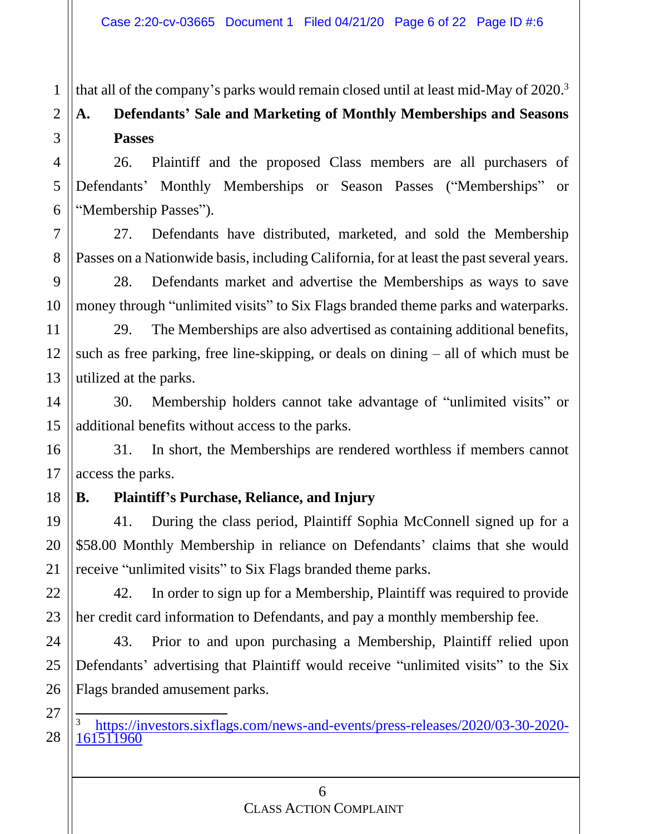that all of the company's parks would remain closed until at least mid-May of 2020.<sup>3</sup>

# **A. Defendants' Sale and Marketing of Monthly Memberships and Seasons Passes**

26. Plaintiff and the proposed Class members are all purchasers of Defendants' Monthly Memberships or Season Passes ("Memberships" or "Membership Passes").

27. Defendants have distributed, marketed, and sold the Membership Passes on a Nationwide basis, including California, for at least the past several years.

28. Defendants market and advertise the Memberships as ways to save money through "unlimited visits" to Six Flags branded theme parks and waterparks.

29. The Memberships are also advertised as containing additional benefits, such as free parking, free line-skipping, or deals on dining – all of which must be utilized at the parks.

30. Membership holders cannot take advantage of "unlimited visits" or additional benefits without access to the parks.

31. In short, the Memberships are rendered worthless if members cannot access the parks.

### **B. Plaintiff's Purchase, Reliance, and Injury**

41. During the class period, Plaintiff Sophia McConnell signed up for a \$58.00 Monthly Membership in reliance on Defendants' claims that she would receive "unlimited visits" to Six Flags branded theme parks.

42. In order to sign up for a Membership, Plaintiff was required to provide her credit card information to Defendants, and pay a monthly membership fee.

43. Prior to and upon purchasing a Membership, Plaintiff relied upon Defendants' advertising that Plaintiff would receive "unlimited visits" to the Six Flags branded amusement parks.

<sup>3</sup> [https://investors.sixflags.com/news-and-events/press-releases/2020/03-30-2020-](https://investors.sixflags.com/news-and-events/press-releases/2020/03-30-2020-161511960) [161511960](https://investors.sixflags.com/news-and-events/press-releases/2020/03-30-2020-161511960)

1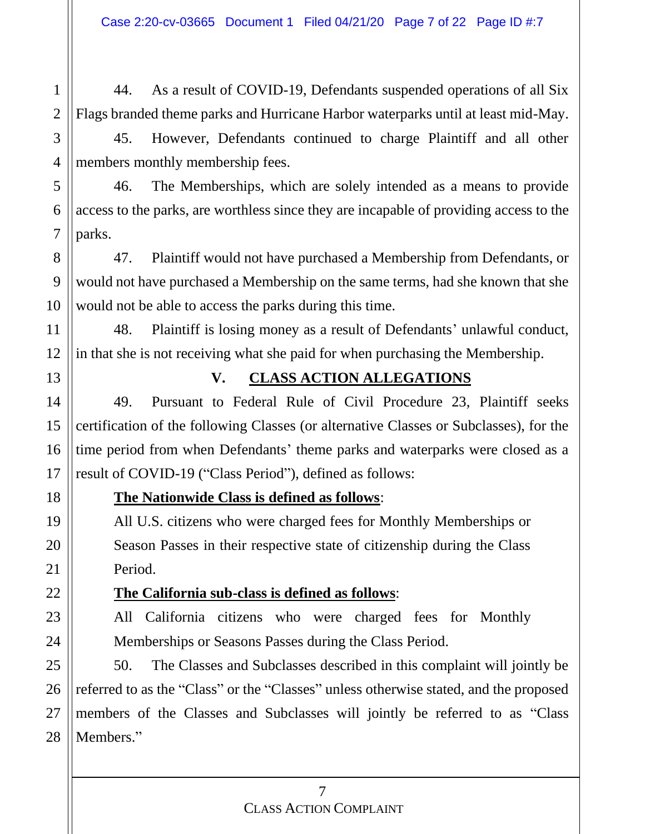44. As a result of COVID-19, Defendants suspended operations of all Six Flags branded theme parks and Hurricane Harbor waterparks until at least mid-May.

45. However, Defendants continued to charge Plaintiff and all other members monthly membership fees.

46. The Memberships, which are solely intended as a means to provide access to the parks, are worthless since they are incapable of providing access to the parks.

47. Plaintiff would not have purchased a Membership from Defendants, or would not have purchased a Membership on the same terms, had she known that she would not be able to access the parks during this time.

48. Plaintiff is losing money as a result of Defendants' unlawful conduct, in that she is not receiving what she paid for when purchasing the Membership.

#### **V. CLASS ACTION ALLEGATIONS**

49. Pursuant to Federal Rule of Civil Procedure 23, Plaintiff seeks certification of the following Classes (or alternative Classes or Subclasses), for the time period from when Defendants' theme parks and waterparks were closed as a result of COVID-19 ("Class Period"), defined as follows:

#### **The Nationwide Class is defined as follows**:

All U.S. citizens who were charged fees for Monthly Memberships or Season Passes in their respective state of citizenship during the Class Period.

#### **The California sub-class is defined as follows**:

All California citizens who were charged fees for Monthly Memberships or Seasons Passes during the Class Period.

50. The Classes and Subclasses described in this complaint will jointly be referred to as the "Class" or the "Classes" unless otherwise stated, and the proposed members of the Classes and Subclasses will jointly be referred to as "Class Members."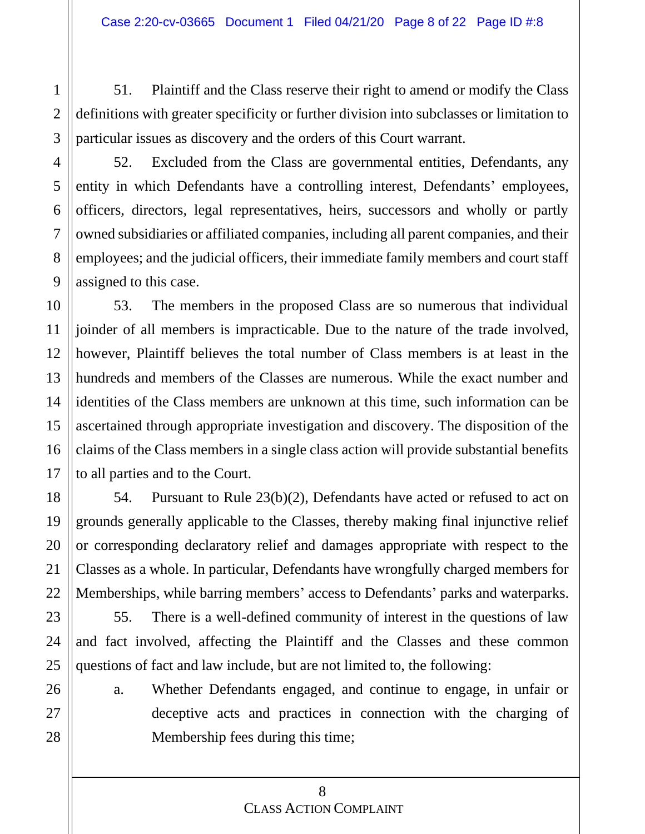51. Plaintiff and the Class reserve their right to amend or modify the Class definitions with greater specificity or further division into subclasses or limitation to particular issues as discovery and the orders of this Court warrant.

52. Excluded from the Class are governmental entities, Defendants, any entity in which Defendants have a controlling interest, Defendants' employees, officers, directors, legal representatives, heirs, successors and wholly or partly owned subsidiaries or affiliated companies, including all parent companies, and their employees; and the judicial officers, their immediate family members and court staff assigned to this case.

53. The members in the proposed Class are so numerous that individual joinder of all members is impracticable. Due to the nature of the trade involved, however, Plaintiff believes the total number of Class members is at least in the hundreds and members of the Classes are numerous. While the exact number and identities of the Class members are unknown at this time, such information can be ascertained through appropriate investigation and discovery. The disposition of the claims of the Class members in a single class action will provide substantial benefits to all parties and to the Court.

54. Pursuant to Rule 23(b)(2), Defendants have acted or refused to act on grounds generally applicable to the Classes, thereby making final injunctive relief or corresponding declaratory relief and damages appropriate with respect to the Classes as a whole. In particular, Defendants have wrongfully charged members for Memberships, while barring members' access to Defendants' parks and waterparks.

55. There is a well-defined community of interest in the questions of law and fact involved, affecting the Plaintiff and the Classes and these common questions of fact and law include, but are not limited to, the following:

a. Whether Defendants engaged, and continue to engage, in unfair or deceptive acts and practices in connection with the charging of Membership fees during this time;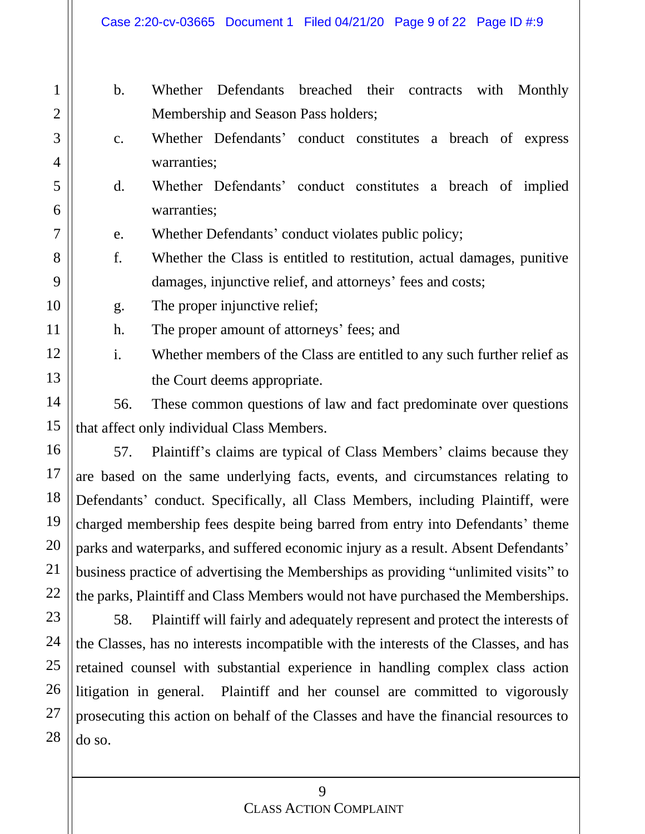|                                            | $\mathbf{b}$ .                                            | Whether Defendants breached their contracts with Monthly                                                                                              |  |  |  |  |  |
|--------------------------------------------|-----------------------------------------------------------|-------------------------------------------------------------------------------------------------------------------------------------------------------|--|--|--|--|--|
|                                            |                                                           | Membership and Season Pass holders;                                                                                                                   |  |  |  |  |  |
|                                            | c.                                                        | Whether Defendants' conduct constitutes a breach of express                                                                                           |  |  |  |  |  |
|                                            |                                                           | warranties;                                                                                                                                           |  |  |  |  |  |
|                                            | d.                                                        | Whether Defendants' conduct constitutes a breach of implied                                                                                           |  |  |  |  |  |
|                                            |                                                           | warranties;                                                                                                                                           |  |  |  |  |  |
|                                            | Whether Defendants' conduct violates public policy;<br>e. |                                                                                                                                                       |  |  |  |  |  |
|                                            | f.                                                        | Whether the Class is entitled to restitution, actual damages, punitive                                                                                |  |  |  |  |  |
|                                            |                                                           | damages, injunctive relief, and attorneys' fees and costs;                                                                                            |  |  |  |  |  |
|                                            | g.                                                        | The proper injunctive relief;<br>The proper amount of attorneys' fees; and<br>Whether members of the Class are entitled to any such further relief as |  |  |  |  |  |
|                                            | h.                                                        |                                                                                                                                                       |  |  |  |  |  |
|                                            | i.                                                        |                                                                                                                                                       |  |  |  |  |  |
|                                            |                                                           | the Court deems appropriate.                                                                                                                          |  |  |  |  |  |
|                                            | 56.                                                       | These common questions of law and fact predominate over questions                                                                                     |  |  |  |  |  |
| that affect only individual Class Members. |                                                           |                                                                                                                                                       |  |  |  |  |  |
|                                            | 57.                                                       | Plaintiff's claims are typical of Class Members' claims because they                                                                                  |  |  |  |  |  |

are based on the same underlying facts, events, and circumstances relating to Defendants' conduct. Specifically, all Class Members, including Plaintiff, were charged membership fees despite being barred from entry into Defendants' theme parks and waterparks, and suffered economic injury as a result. Absent Defendants' business practice of advertising the Memberships as providing "unlimited visits" to the parks, Plaintiff and Class Members would not have purchased the Memberships.

58. Plaintiff will fairly and adequately represent and protect the interests of the Classes, has no interests incompatible with the interests of the Classes, and has retained counsel with substantial experience in handling complex class action litigation in general. Plaintiff and her counsel are committed to vigorously prosecuting this action on behalf of the Classes and have the financial resources to do so.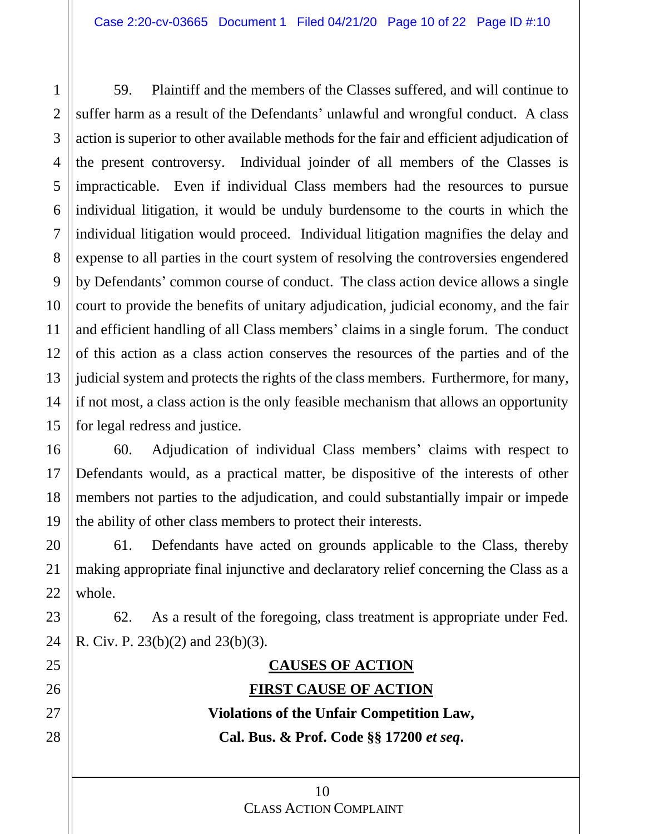59. Plaintiff and the members of the Classes suffered, and will continue to suffer harm as a result of the Defendants' unlawful and wrongful conduct. A class action is superior to other available methods for the fair and efficient adjudication of the present controversy. Individual joinder of all members of the Classes is impracticable. Even if individual Class members had the resources to pursue individual litigation, it would be unduly burdensome to the courts in which the individual litigation would proceed. Individual litigation magnifies the delay and expense to all parties in the court system of resolving the controversies engendered by Defendants' common course of conduct. The class action device allows a single court to provide the benefits of unitary adjudication, judicial economy, and the fair and efficient handling of all Class members' claims in a single forum. The conduct of this action as a class action conserves the resources of the parties and of the judicial system and protects the rights of the class members. Furthermore, for many, if not most, a class action is the only feasible mechanism that allows an opportunity for legal redress and justice.

60. Adjudication of individual Class members' claims with respect to Defendants would, as a practical matter, be dispositive of the interests of other members not parties to the adjudication, and could substantially impair or impede the ability of other class members to protect their interests.

61. Defendants have acted on grounds applicable to the Class, thereby making appropriate final injunctive and declaratory relief concerning the Class as a whole.

62. As a result of the foregoing, class treatment is appropriate under Fed. R. Civ. P. 23(b)(2) and 23(b)(3).

## **CAUSES OF ACTION FIRST CAUSE OF ACTION**

**Violations of the Unfair Competition Law, Cal. Bus. & Prof. Code §§ 17200** *et seq***.**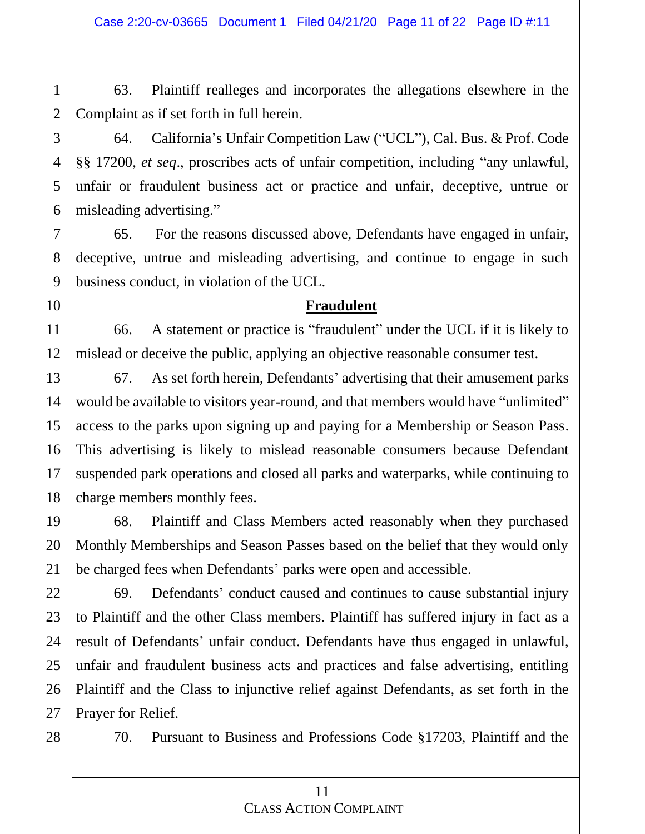63. Plaintiff realleges and incorporates the allegations elsewhere in the Complaint as if set forth in full herein.

64. California's Unfair Competition Law ("UCL"), Cal. Bus. & Prof. Code §§ 17200, *et seq*., proscribes acts of unfair competition, including "any unlawful, unfair or fraudulent business act or practice and unfair, deceptive, untrue or misleading advertising."

65. For the reasons discussed above, Defendants have engaged in unfair, deceptive, untrue and misleading advertising, and continue to engage in such business conduct, in violation of the UCL.

#### **Fraudulent**

66. A statement or practice is "fraudulent" under the UCL if it is likely to mislead or deceive the public, applying an objective reasonable consumer test.

67. As set forth herein, Defendants' advertising that their amusement parks would be available to visitors year-round, and that members would have "unlimited" access to the parks upon signing up and paying for a Membership or Season Pass. This advertising is likely to mislead reasonable consumers because Defendant suspended park operations and closed all parks and waterparks, while continuing to charge members monthly fees.

68. Plaintiff and Class Members acted reasonably when they purchased Monthly Memberships and Season Passes based on the belief that they would only be charged fees when Defendants' parks were open and accessible.

69. Defendants' conduct caused and continues to cause substantial injury to Plaintiff and the other Class members. Plaintiff has suffered injury in fact as a result of Defendants' unfair conduct. Defendants have thus engaged in unlawful, unfair and fraudulent business acts and practices and false advertising, entitling Plaintiff and the Class to injunctive relief against Defendants, as set forth in the Prayer for Relief.

70. Pursuant to Business and Professions Code §17203, Plaintiff and the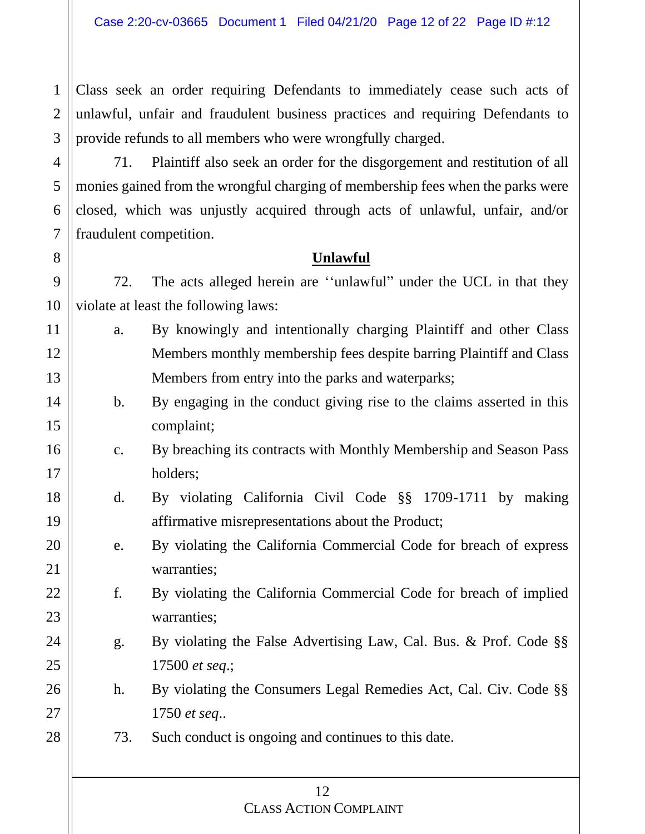Class seek an order requiring Defendants to immediately cease such acts of unlawful, unfair and fraudulent business practices and requiring Defendants to provide refunds to all members who were wrongfully charged.

71. Plaintiff also seek an order for the disgorgement and restitution of all monies gained from the wrongful charging of membership fees when the parks were closed, which was unjustly acquired through acts of unlawful, unfair, and/or fraudulent competition.

#### **Unlawful**

72. The acts alleged herein are ''unlawful" under the UCL in that they violate at least the following laws:

- a. By knowingly and intentionally charging Plaintiff and other Class Members monthly membership fees despite barring Plaintiff and Class Members from entry into the parks and waterparks;
	- b. By engaging in the conduct giving rise to the claims asserted in this complaint;
	- c. By breaching its contracts with Monthly Membership and Season Pass holders;
- d. By violating California Civil Code §§ 1709-1711 by making affirmative misrepresentations about the Product;
	- e. By violating the California Commercial Code for breach of express warranties;
	- f. By violating the California Commercial Code for breach of implied warranties;
- g. By violating the False Advertising Law, Cal. Bus. & Prof. Code §§ 17500 *et seq*.;
	- h. By violating the Consumers Legal Remedies Act, Cal. Civ. Code §§ 1750 *et seq*..
	- 73. Such conduct is ongoing and continues to this date.

1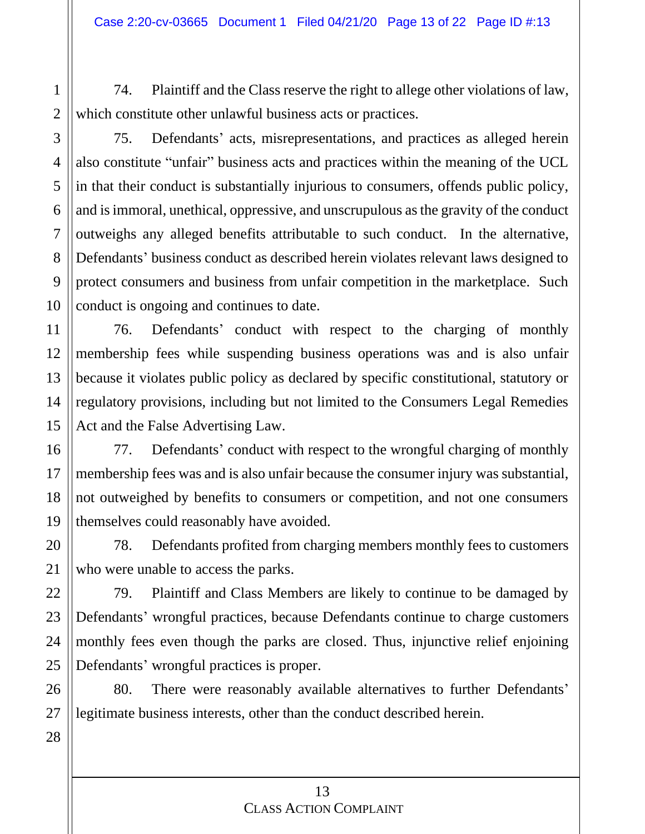74. Plaintiff and the Class reserve the right to allege other violations of law, which constitute other unlawful business acts or practices.

1

2

3

4

5

6

7

75. Defendants' acts, misrepresentations, and practices as alleged herein also constitute "unfair" business acts and practices within the meaning of the UCL in that their conduct is substantially injurious to consumers, offends public policy, and is immoral, unethical, oppressive, and unscrupulous as the gravity of the conduct outweighs any alleged benefits attributable to such conduct. In the alternative, Defendants' business conduct as described herein violates relevant laws designed to protect consumers and business from unfair competition in the marketplace. Such conduct is ongoing and continues to date.

76. Defendants' conduct with respect to the charging of monthly membership fees while suspending business operations was and is also unfair because it violates public policy as declared by specific constitutional, statutory or regulatory provisions, including but not limited to the Consumers Legal Remedies Act and the False Advertising Law.

77. Defendants' conduct with respect to the wrongful charging of monthly membership fees was and is also unfair because the consumer injury was substantial, not outweighed by benefits to consumers or competition, and not one consumers themselves could reasonably have avoided.

78. Defendants profited from charging members monthly fees to customers who were unable to access the parks.

79. Plaintiff and Class Members are likely to continue to be damaged by Defendants' wrongful practices, because Defendants continue to charge customers monthly fees even though the parks are closed. Thus, injunctive relief enjoining Defendants' wrongful practices is proper.

80. There were reasonably available alternatives to further Defendants' legitimate business interests, other than the conduct described herein.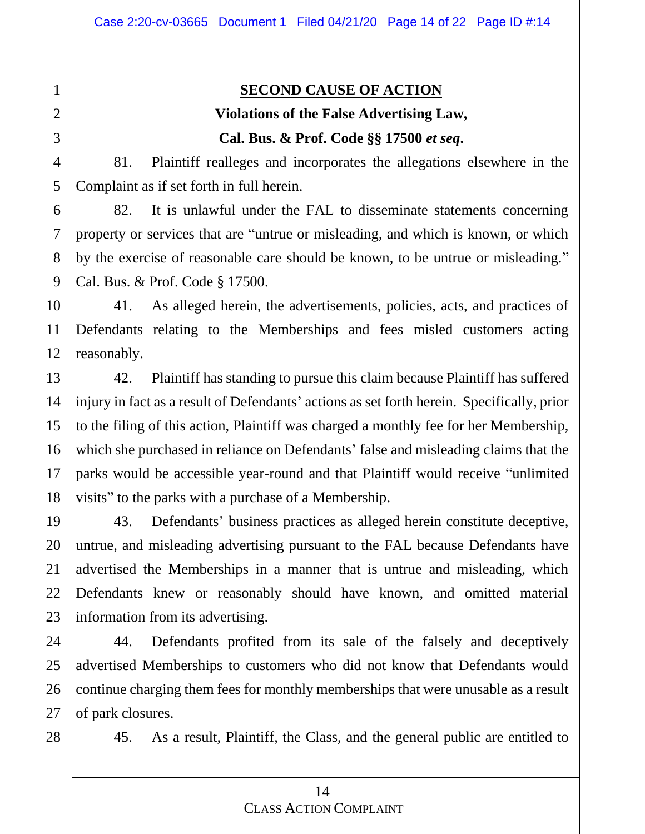#### **SECOND CAUSE OF ACTION**

### **Violations of the False Advertising Law, Cal. Bus. & Prof. Code §§ 17500** *et seq***.**

81. Plaintiff realleges and incorporates the allegations elsewhere in the Complaint as if set forth in full herein.

82. It is unlawful under the FAL to disseminate statements concerning property or services that are "untrue or misleading, and which is known, or which by the exercise of reasonable care should be known, to be untrue or misleading." Cal. Bus. & Prof. Code § 17500.

41. As alleged herein, the advertisements, policies, acts, and practices of Defendants relating to the Memberships and fees misled customers acting reasonably.

42. Plaintiff has standing to pursue this claim because Plaintiff has suffered injury in fact as a result of Defendants' actions as set forth herein. Specifically, prior to the filing of this action, Plaintiff was charged a monthly fee for her Membership, which she purchased in reliance on Defendants' false and misleading claims that the parks would be accessible year-round and that Plaintiff would receive "unlimited visits" to the parks with a purchase of a Membership.

43. Defendants' business practices as alleged herein constitute deceptive, untrue, and misleading advertising pursuant to the FAL because Defendants have advertised the Memberships in a manner that is untrue and misleading, which Defendants knew or reasonably should have known, and omitted material information from its advertising.

44. Defendants profited from its sale of the falsely and deceptively advertised Memberships to customers who did not know that Defendants would continue charging them fees for monthly memberships that were unusable as a result of park closures.

28

45. As a result, Plaintiff, the Class, and the general public are entitled to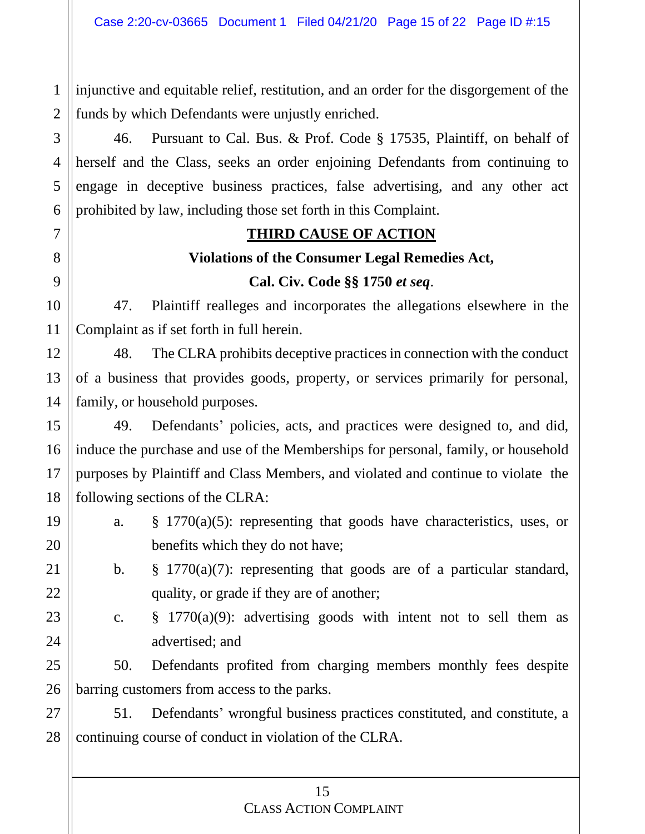injunctive and equitable relief, restitution, and an order for the disgorgement of the funds by which Defendants were unjustly enriched.

46. Pursuant to Cal. Bus. & Prof. Code § 17535, Plaintiff, on behalf of herself and the Class, seeks an order enjoining Defendants from continuing to engage in deceptive business practices, false advertising, and any other act prohibited by law, including those set forth in this Complaint.

#### **THIRD CAUSE OF ACTION**

# **Violations of the Consumer Legal Remedies Act, Cal. Civ. Code §§ 1750** *et seq*.

47. Plaintiff realleges and incorporates the allegations elsewhere in the Complaint as if set forth in full herein.

48. The CLRA prohibits deceptive practices in connection with the conduct of a business that provides goods, property, or services primarily for personal, family, or household purposes.

49. Defendants' policies, acts, and practices were designed to, and did, induce the purchase and use of the Memberships for personal, family, or household purposes by Plaintiff and Class Members, and violated and continue to violate the following sections of the CLRA:

a. § 1770(a)(5): representing that goods have characteristics, uses, or benefits which they do not have;

b. § 1770(a)(7): representing that goods are of a particular standard, quality, or grade if they are of another;

c.  $\S$  1770(a)(9): advertising goods with intent not to sell them as advertised; and

50. Defendants profited from charging members monthly fees despite barring customers from access to the parks.

51. Defendants' wrongful business practices constituted, and constitute, a continuing course of conduct in violation of the CLRA.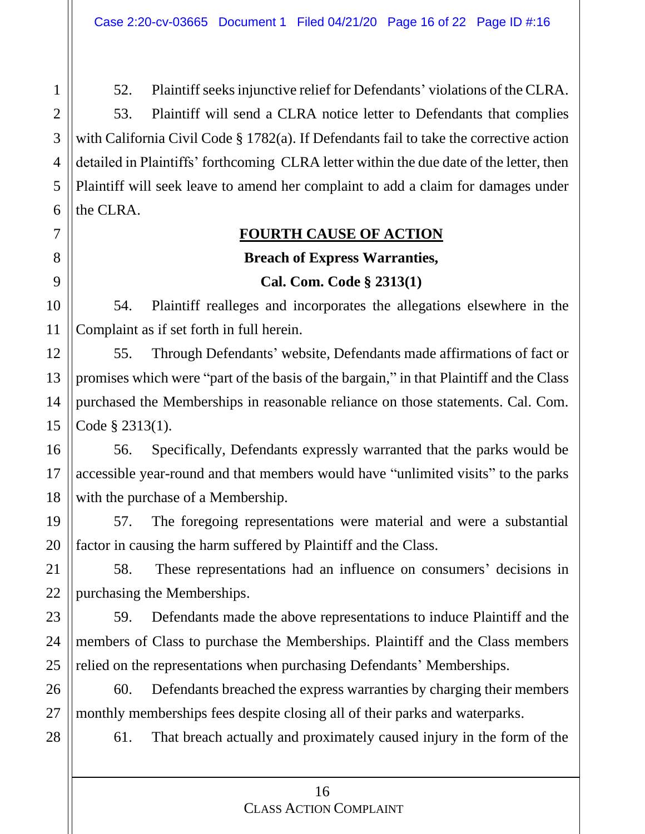52. Plaintiff seeks injunctive relief for Defendants' violations of the CLRA. 53. Plaintiff will send a CLRA notice letter to Defendants that complies with California Civil Code § 1782(a). If Defendants fail to take the corrective action detailed in Plaintiffs' forthcoming CLRA letter within the due date of the letter, then Plaintiff will seek leave to amend her complaint to add a claim for damages under

#### **FOURTH CAUSE OF ACTION**

# **Breach of Express Warranties,**

#### **Cal. Com. Code § 2313(1)**

54. Plaintiff realleges and incorporates the allegations elsewhere in the Complaint as if set forth in full herein.

55. Through Defendants' website, Defendants made affirmations of fact or promises which were "part of the basis of the bargain," in that Plaintiff and the Class purchased the Memberships in reasonable reliance on those statements. Cal. Com. Code § 2313(1).

56. Specifically, Defendants expressly warranted that the parks would be accessible year-round and that members would have "unlimited visits" to the parks with the purchase of a Membership.

57. The foregoing representations were material and were a substantial factor in causing the harm suffered by Plaintiff and the Class.

58. These representations had an influence on consumers' decisions in purchasing the Memberships.

59. Defendants made the above representations to induce Plaintiff and the members of Class to purchase the Memberships. Plaintiff and the Class members relied on the representations when purchasing Defendants' Memberships.

60. Defendants breached the express warranties by charging their members monthly memberships fees despite closing all of their parks and waterparks.

61. That breach actually and proximately caused injury in the form of the

#### 16 CLASS ACTION COMPLAINT

the CLRA.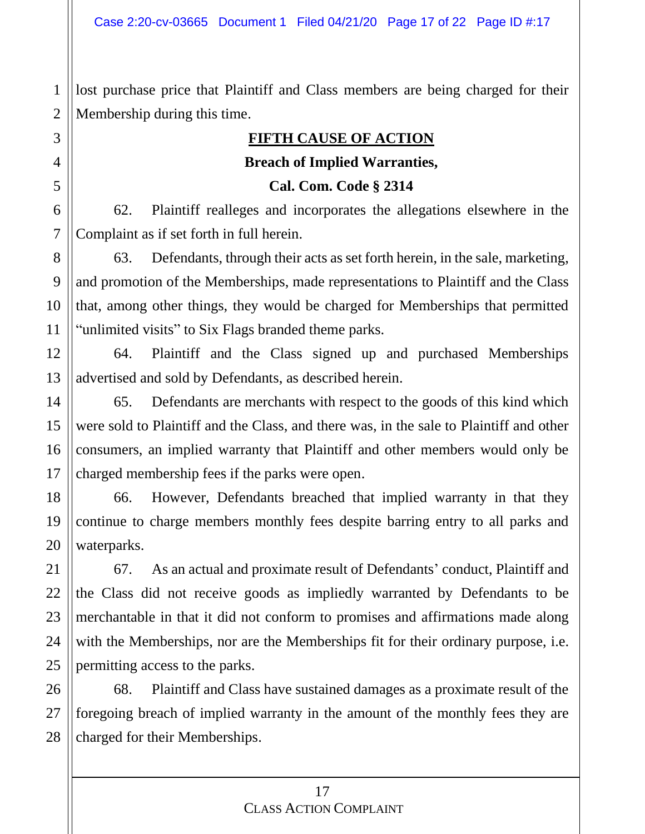lost purchase price that Plaintiff and Class members are being charged for their Membership during this time.

#### **FIFTH CAUSE OF ACTION**

#### **Breach of Implied Warranties,**

**Cal. Com. Code § 2314**

62. Plaintiff realleges and incorporates the allegations elsewhere in the Complaint as if set forth in full herein.

63. Defendants, through their acts as set forth herein, in the sale, marketing, and promotion of the Memberships, made representations to Plaintiff and the Class that, among other things, they would be charged for Memberships that permitted "unlimited visits" to Six Flags branded theme parks.

64. Plaintiff and the Class signed up and purchased Memberships advertised and sold by Defendants, as described herein.

65. Defendants are merchants with respect to the goods of this kind which were sold to Plaintiff and the Class, and there was, in the sale to Plaintiff and other consumers, an implied warranty that Plaintiff and other members would only be charged membership fees if the parks were open.

66. However, Defendants breached that implied warranty in that they continue to charge members monthly fees despite barring entry to all parks and waterparks.

67. As an actual and proximate result of Defendants' conduct, Plaintiff and the Class did not receive goods as impliedly warranted by Defendants to be merchantable in that it did not conform to promises and affirmations made along with the Memberships, nor are the Memberships fit for their ordinary purpose, i.e. permitting access to the parks.

68. Plaintiff and Class have sustained damages as a proximate result of the foregoing breach of implied warranty in the amount of the monthly fees they are charged for their Memberships.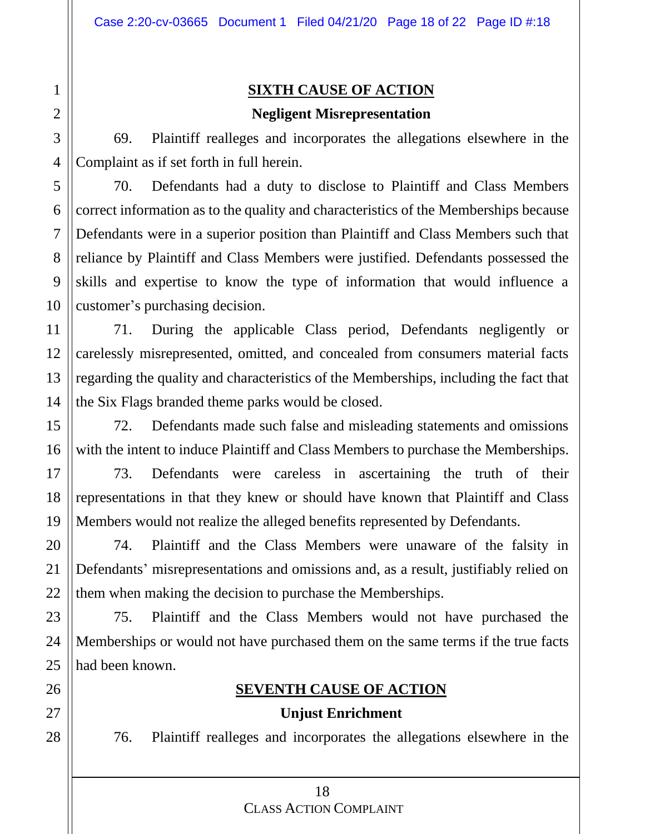## **SIXTH CAUSE OF ACTION**

#### **Negligent Misrepresentation**

69. Plaintiff realleges and incorporates the allegations elsewhere in the Complaint as if set forth in full herein.

70. Defendants had a duty to disclose to Plaintiff and Class Members correct information as to the quality and characteristics of the Memberships because Defendants were in a superior position than Plaintiff and Class Members such that reliance by Plaintiff and Class Members were justified. Defendants possessed the skills and expertise to know the type of information that would influence a customer's purchasing decision.

71. During the applicable Class period, Defendants negligently or carelessly misrepresented, omitted, and concealed from consumers material facts regarding the quality and characteristics of the Memberships, including the fact that the Six Flags branded theme parks would be closed.

72. Defendants made such false and misleading statements and omissions with the intent to induce Plaintiff and Class Members to purchase the Memberships.

73. Defendants were careless in ascertaining the truth of their representations in that they knew or should have known that Plaintiff and Class Members would not realize the alleged benefits represented by Defendants.

74. Plaintiff and the Class Members were unaware of the falsity in Defendants' misrepresentations and omissions and, as a result, justifiably relied on them when making the decision to purchase the Memberships.

75. Plaintiff and the Class Members would not have purchased the Memberships or would not have purchased them on the same terms if the true facts had been known.

### **SEVENTH CAUSE OF ACTION**

#### **Unjust Enrichment**

76. Plaintiff realleges and incorporates the allegations elsewhere in the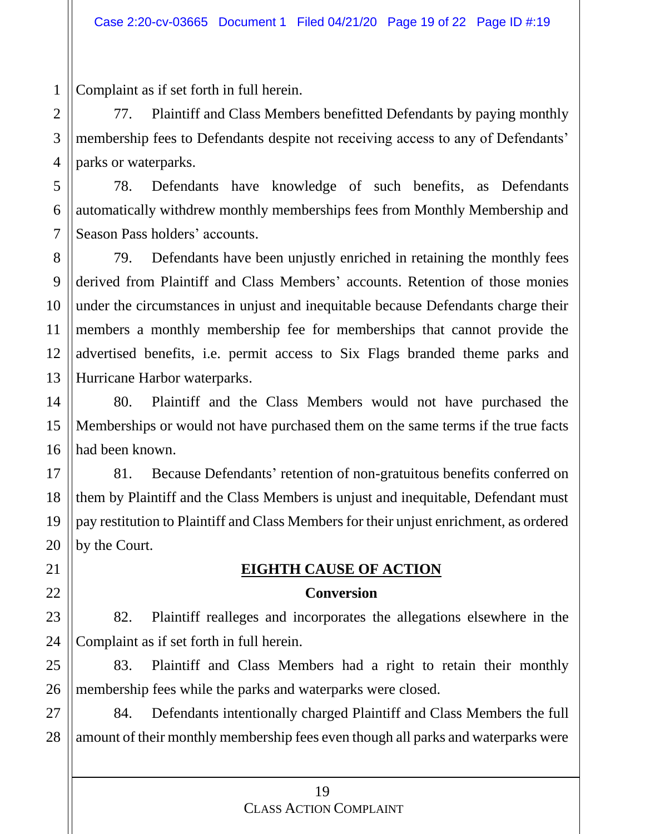Complaint as if set forth in full herein.

77. Plaintiff and Class Members benefitted Defendants by paying monthly membership fees to Defendants despite not receiving access to any of Defendants' parks or waterparks.

78. Defendants have knowledge of such benefits, as Defendants automatically withdrew monthly memberships fees from Monthly Membership and Season Pass holders' accounts.

79. Defendants have been unjustly enriched in retaining the monthly fees derived from Plaintiff and Class Members' accounts. Retention of those monies under the circumstances in unjust and inequitable because Defendants charge their members a monthly membership fee for memberships that cannot provide the advertised benefits, i.e. permit access to Six Flags branded theme parks and Hurricane Harbor waterparks.

80. Plaintiff and the Class Members would not have purchased the Memberships or would not have purchased them on the same terms if the true facts had been known.

81. Because Defendants' retention of non-gratuitous benefits conferred on them by Plaintiff and the Class Members is unjust and inequitable, Defendant must pay restitution to Plaintiff and Class Members for their unjust enrichment, as ordered by the Court.

## **EIGHTH CAUSE OF ACTION**

#### **Conversion**

82. Plaintiff realleges and incorporates the allegations elsewhere in the Complaint as if set forth in full herein.

83. Plaintiff and Class Members had a right to retain their monthly membership fees while the parks and waterparks were closed.

84. Defendants intentionally charged Plaintiff and Class Members the full amount of their monthly membership fees even though all parks and waterparks were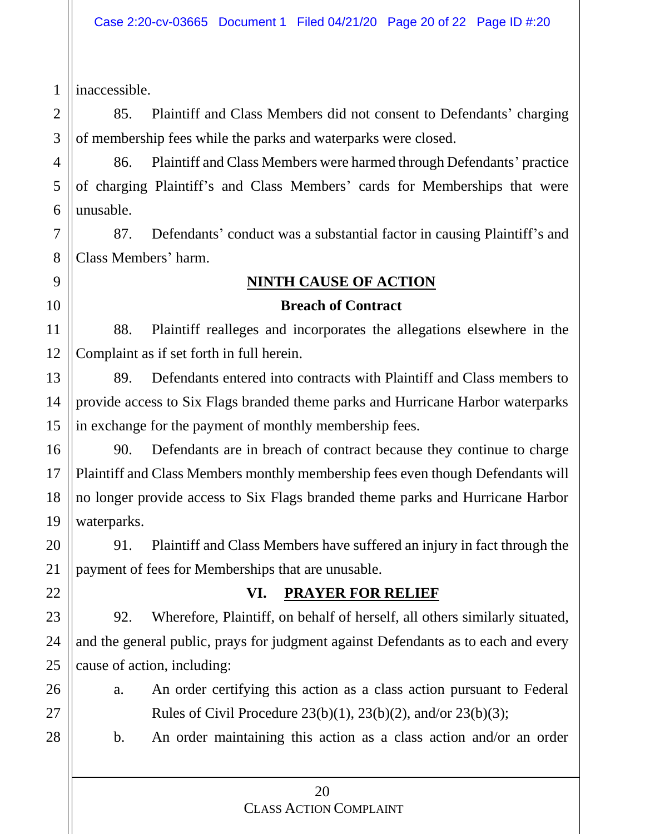inaccessible.

85. Plaintiff and Class Members did not consent to Defendants' charging of membership fees while the parks and waterparks were closed.

86. Plaintiff and Class Members were harmed through Defendants' practice of charging Plaintiff's and Class Members' cards for Memberships that were unusable.

87. Defendants' conduct was a substantial factor in causing Plaintiff's and Class Members' harm.

# **NINTH CAUSE OF ACTION**

#### **Breach of Contract**

88. Plaintiff realleges and incorporates the allegations elsewhere in the Complaint as if set forth in full herein.

89. Defendants entered into contracts with Plaintiff and Class members to provide access to Six Flags branded theme parks and Hurricane Harbor waterparks in exchange for the payment of monthly membership fees.

90. Defendants are in breach of contract because they continue to charge Plaintiff and Class Members monthly membership fees even though Defendants will no longer provide access to Six Flags branded theme parks and Hurricane Harbor waterparks.

91. Plaintiff and Class Members have suffered an injury in fact through the payment of fees for Memberships that are unusable.

## **VI. PRAYER FOR RELIEF**

92. Wherefore, Plaintiff, on behalf of herself, all others similarly situated, and the general public, prays for judgment against Defendants as to each and every cause of action, including:

a. An order certifying this action as a class action pursuant to Federal Rules of Civil Procedure 23(b)(1), 23(b)(2), and/or 23(b)(3);

b. An order maintaining this action as a class action and/or an order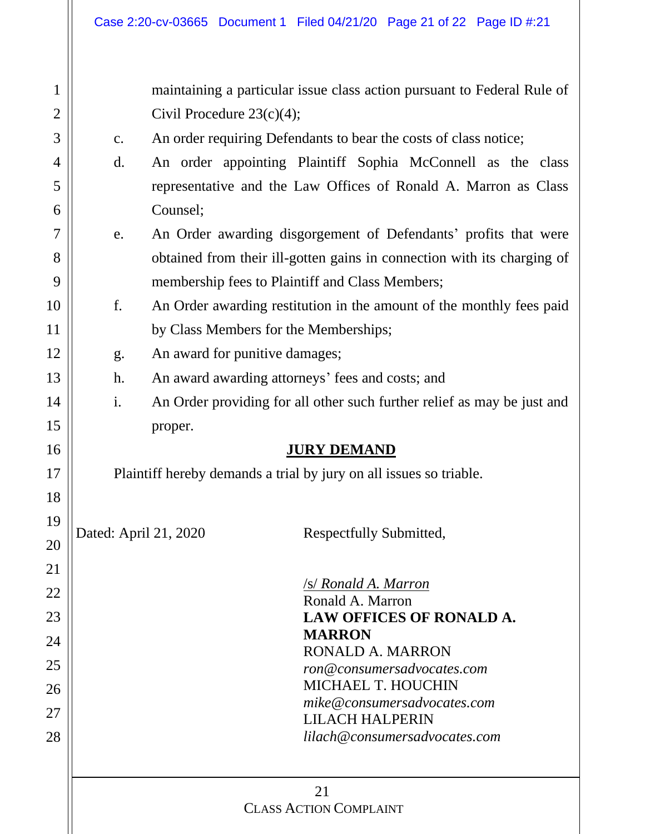| $\mathbf{1}$   | maintaining a particular issue class action pursuant to Federal Rule of |                                                                         |  |  |  |  |  |
|----------------|-------------------------------------------------------------------------|-------------------------------------------------------------------------|--|--|--|--|--|
| $\overline{2}$ |                                                                         | Civil Procedure $23(c)(4)$ ;                                            |  |  |  |  |  |
| 3              | $\mathbf{c}$ .                                                          | An order requiring Defendants to bear the costs of class notice;        |  |  |  |  |  |
| 4              | d.                                                                      | An order appointing Plaintiff Sophia McConnell as the class             |  |  |  |  |  |
| 5              |                                                                         | representative and the Law Offices of Ronald A. Marron as Class         |  |  |  |  |  |
| 6              |                                                                         | Counsel;                                                                |  |  |  |  |  |
| 7              | e.                                                                      | An Order awarding disgorgement of Defendants' profits that were         |  |  |  |  |  |
| 8              |                                                                         | obtained from their ill-gotten gains in connection with its charging of |  |  |  |  |  |
| 9              |                                                                         | membership fees to Plaintiff and Class Members;                         |  |  |  |  |  |
| 10             | f.                                                                      | An Order awarding restitution in the amount of the monthly fees paid    |  |  |  |  |  |
| 11             |                                                                         | by Class Members for the Memberships;                                   |  |  |  |  |  |
| 12             | g.                                                                      | An award for punitive damages;                                          |  |  |  |  |  |
| 13             | h.                                                                      | An award awarding attorneys' fees and costs; and                        |  |  |  |  |  |
| 14             | i.                                                                      | An Order providing for all other such further relief as may be just and |  |  |  |  |  |
| 15             |                                                                         | proper.                                                                 |  |  |  |  |  |
| 16             |                                                                         | <b>JURY DEMAND</b>                                                      |  |  |  |  |  |
| 17             |                                                                         | Plaintiff hereby demands a trial by jury on all issues so triable.      |  |  |  |  |  |
| 18             |                                                                         |                                                                         |  |  |  |  |  |
| 19             |                                                                         |                                                                         |  |  |  |  |  |
| 20             |                                                                         | Dated: April 21, 2020<br>Respectfully Submitted,                        |  |  |  |  |  |
| 21             |                                                                         |                                                                         |  |  |  |  |  |
| 22             |                                                                         | /s/ Ronald A. Marron                                                    |  |  |  |  |  |
| 23             |                                                                         | Ronald A. Marron<br><b>LAW OFFICES OF RONALD A.</b>                     |  |  |  |  |  |
| 24             |                                                                         | <b>MARRON</b>                                                           |  |  |  |  |  |
|                |                                                                         | <b>RONALD A. MARRON</b>                                                 |  |  |  |  |  |
| 25             |                                                                         | ron@consumersadvocates.com<br><b>MICHAEL T. HOUCHIN</b>                 |  |  |  |  |  |
| 26             |                                                                         | mike@consumersadvocates.com                                             |  |  |  |  |  |
| 27             |                                                                         | <b>LILACH HALPERIN</b>                                                  |  |  |  |  |  |
| 28             |                                                                         | lilach@consumersadvocates.com                                           |  |  |  |  |  |
|                |                                                                         |                                                                         |  |  |  |  |  |
|                | 21<br><b>CLASS ACTION COMPLAINT</b>                                     |                                                                         |  |  |  |  |  |
|                |                                                                         |                                                                         |  |  |  |  |  |